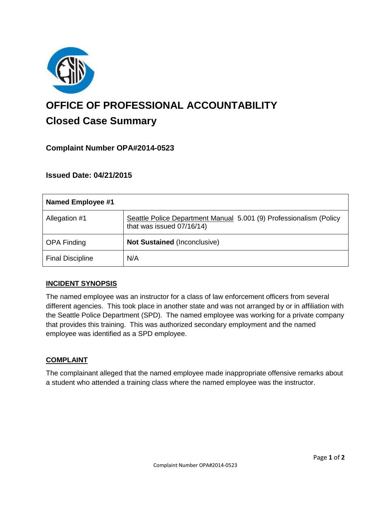

# **OFFICE OF PROFESSIONAL ACCOUNTABILITY Closed Case Summary**

# **Complaint Number OPA#2014-0523**

# **Issued Date: 04/21/2015**

| <b>Named Employee #1</b> |                                                                                                 |
|--------------------------|-------------------------------------------------------------------------------------------------|
| Allegation #1            | Seattle Police Department Manual 5.001 (9) Professionalism (Policy<br>that was issued 07/16/14) |
| <b>OPA Finding</b>       | <b>Not Sustained (Inconclusive)</b>                                                             |
| <b>Final Discipline</b>  | N/A                                                                                             |

#### **INCIDENT SYNOPSIS**

The named employee was an instructor for a class of law enforcement officers from several different agencies. This took place in another state and was not arranged by or in affiliation with the Seattle Police Department (SPD). The named employee was working for a private company that provides this training. This was authorized secondary employment and the named employee was identified as a SPD employee.

#### **COMPLAINT**

The complainant alleged that the named employee made inappropriate offensive remarks about a student who attended a training class where the named employee was the instructor.